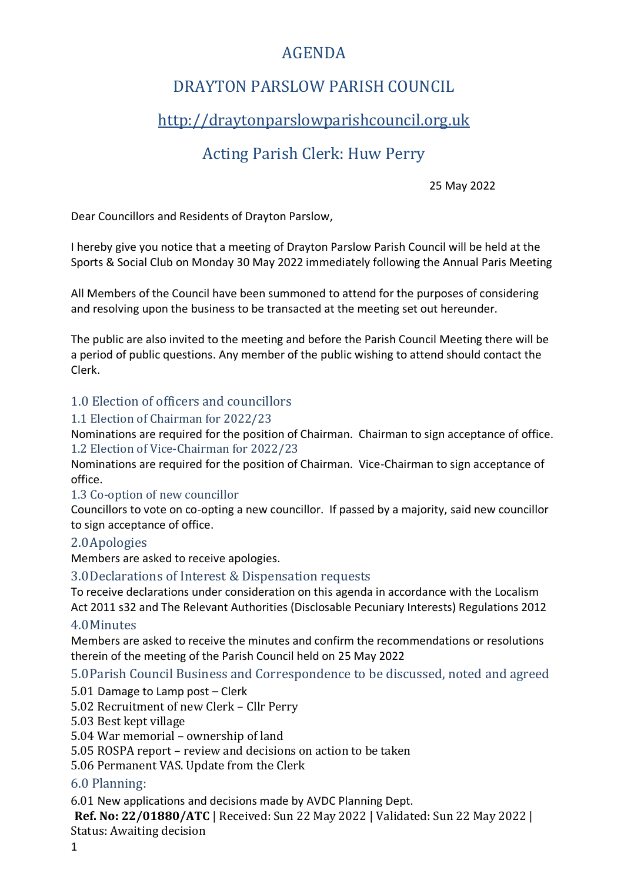## AGENDA

## DRAYTON PARSLOW PARISH COUNCIL

# [http://draytonparslowparishcouncil.org.uk](http://draytonparslowparishcouncil.org.uk/)

# Acting Parish Clerk: Huw Perry

25 May 2022

Dear Councillors and Residents of Drayton Parslow,

I hereby give you notice that a meeting of Drayton Parslow Parish Council will be held at the Sports & Social Club on Monday 30 May 2022 immediately following the Annual Paris Meeting

All Members of the Council have been summoned to attend for the purposes of considering and resolving upon the business to be transacted at the meeting set out hereunder.

The public are also invited to the meeting and before the Parish Council Meeting there will be a period of public questions. Any member of the public wishing to attend should contact the Clerk.

## 1.0 Election of officers and councillors

#### 1.1 Election of Chairman for 2022/23

Nominations are required for the position of Chairman. Chairman to sign acceptance of office. 1.2 Election of Vice-Chairman for 2022/23

Nominations are required for the position of Chairman. Vice-Chairman to sign acceptance of office.

#### 1.3 Co-option of new councillor

Councillors to vote on co-opting a new councillor. If passed by a majority, said new councillor to sign acceptance of office.

#### 2.0Apologies

Members are asked to receive apologies.

#### 3.0Declarations of Interest & Dispensation requests

To receive declarations under consideration on this agenda in accordance with the Localism Act 2011 s32 and The Relevant Authorities (Disclosable Pecuniary Interests) Regulations 2012

#### 4.0Minutes

Members are asked to receive the minutes and confirm the recommendations or resolutions therein of the meeting of the Parish Council held on 25 May 2022

5.0Parish Council Business and Correspondence to be discussed, noted and agreed

5.01 Damage to Lamp post – Clerk

5.02 Recruitment of new Clerk – Cllr Perry

5.03 Best kept village

5.04 War memorial – ownership of land

5.05 ROSPA report – review and decisions on action to be taken

5.06 Permanent VAS. Update from the Clerk

#### 6.0 Planning:

6.01 New applications and decisions made by AVDC Planning Dept.

**Ref. No: 22/01880/ATC** | Received: Sun 22 May 2022 | Validated: Sun 22 May 2022 | Status: Awaiting decision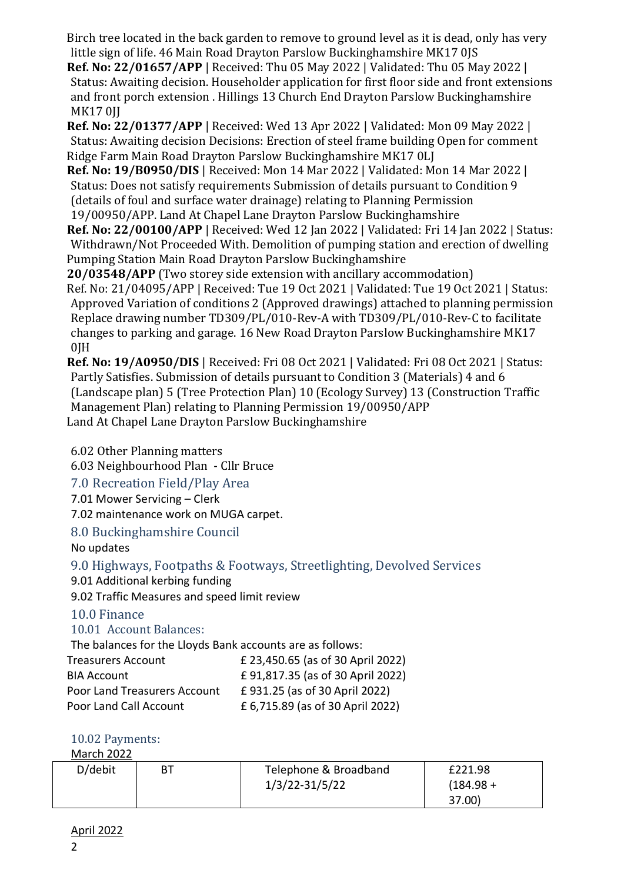Birch tree located in the back garden to remove to ground level as it is dead, only has very little sign of life. 46 Main Road Drayton Parslow Buckinghamshire MK17 0JS

**Ref. No: 22/01657/APP** | Received: Thu 05 May 2022 | Validated: Thu 05 May 2022 | Status: Awaiting decision. Householder application for first floor side and front extensions and front porch extension . Hillings 13 Church End Drayton Parslow Buckinghamshire **MK170II** 

**Ref. No: 22/01377/APP** | Received: Wed 13 Apr 2022 | Validated: Mon 09 May 2022 | Status: Awaiting decision Decisions: Erection of steel frame building Open for comment Ridge Farm Main Road Drayton Parslow Buckinghamshire MK17 0LJ

**Ref. No: 19/B0950/DIS** | Received: Mon 14 Mar 2022 | Validated: Mon 14 Mar 2022 | Status: Does not satisfy requirements Submission of details pursuant to Condition 9 (details of foul and surface water drainage) relating to Planning Permission 19/00950/APP. Land At Chapel Lane Drayton Parslow Buckinghamshire

**Ref. No: 22/00100/APP** | Received: Wed 12 Jan 2022 | Validated: Fri 14 Jan 2022 | Status: Withdrawn/Not Proceeded With. Demolition of pumping station and erection of dwelling Pumping Station Main Road Drayton Parslow Buckinghamshire

**20/03548/APP** (Two storey side extension with ancillary accommodation)

Ref. No: 21/04095/APP | Received: Tue 19 Oct 2021 | Validated: Tue 19 Oct 2021 | Status: Approved Variation of conditions 2 (Approved drawings) attached to planning permission Replace drawing number TD309/PL/010-Rev-A with TD309/PL/010-Rev-C to facilitate changes to parking and garage. 16 New Road Drayton Parslow Buckinghamshire MK17  $0$ IH

**Ref. No: 19/A0950/DIS** | Received: Fri 08 Oct 2021 | Validated: Fri 08 Oct 2021 | Status: Partly Satisfies. Submission of details pursuant to Condition 3 (Materials) 4 and 6 (Landscape plan) 5 (Tree Protection Plan) 10 (Ecology Survey) 13 (Construction Traffic Management Plan) relating to Planning Permission 19/00950/APP Land At Chapel Lane Drayton Parslow Buckinghamshire

6.02 Other Planning matters

6.03 Neighbourhood Plan - Cllr Bruce

7.0 Recreation Field/Play Area

7.01 Mower Servicing – Clerk

7.02 maintenance work on MUGA carpet.

8.0 Buckinghamshire Council

No updates

9.0 Highways, Footpaths & Footways, Streetlighting, Devolved Services

9.01 Additional kerbing funding

9.02 Traffic Measures and speed limit review

## 10.0 Finance

## 10.01 Account Balances:

The balances for the Lloyds Bank accounts are as follows:

| <b>Treasurers Account</b>           | £ 23,450.65 (as of 30 April 2022) |
|-------------------------------------|-----------------------------------|
| <b>BIA Account</b>                  | £91,817.35 (as of 30 April 2022)  |
| <b>Poor Land Treasurers Account</b> | £931.25 (as of 30 April 2022)     |
| Poor Land Call Account              | £ 6,715.89 (as of 30 April 2022)  |

## 10.02 Payments:

March 2022

| D/debit | ВT | Telephone & Broadband | £221.98     |
|---------|----|-----------------------|-------------|
|         |    | 1/3/22-31/5/22        | $(184.98 +$ |
|         |    |                       | 37.00)      |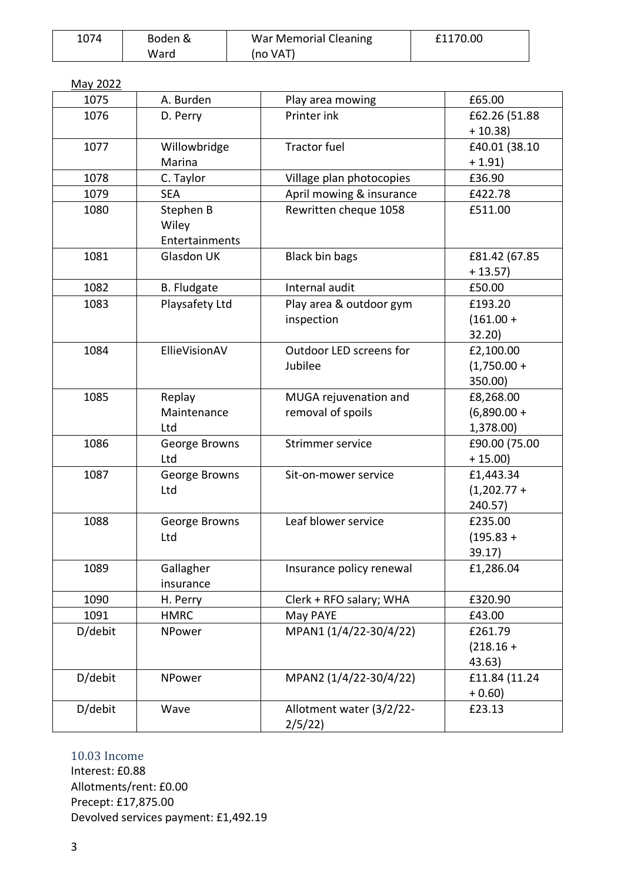| 1074 | Boden & | War Memorial Cleaning | £1170.00 |
|------|---------|-----------------------|----------|
|      | Ward    | (no VAT)              |          |

| May 2022 |                    |                          |               |
|----------|--------------------|--------------------------|---------------|
| 1075     | A. Burden          | Play area mowing         | £65.00        |
| 1076     | D. Perry           | Printer ink              | £62.26 (51.88 |
|          |                    |                          | $+10.38$      |
| 1077     | Willowbridge       | <b>Tractor fuel</b>      | £40.01 (38.10 |
|          | Marina             |                          | $+1.91$       |
| 1078     | C. Taylor          | Village plan photocopies | £36.90        |
| 1079     | <b>SEA</b>         | April mowing & insurance | £422.78       |
| 1080     | Stephen B          | Rewritten cheque 1058    | £511.00       |
|          | Wiley              |                          |               |
|          | Entertainments     |                          |               |
| 1081     | <b>Glasdon UK</b>  | <b>Black bin bags</b>    | £81.42 (67.85 |
|          |                    |                          | $+13.57$      |
| 1082     | <b>B.</b> Fludgate | Internal audit           | £50.00        |
| 1083     | Playsafety Ltd     | Play area & outdoor gym  | £193.20       |
|          |                    | inspection               | $(161.00 +$   |
|          |                    |                          | 32.20)        |
| 1084     | EllieVisionAV      | Outdoor LED screens for  | £2,100.00     |
|          |                    | Jubilee                  | $(1,750.00 +$ |
|          |                    |                          | 350.00)       |
| 1085     | Replay             | MUGA rejuvenation and    | £8,268.00     |
|          | Maintenance        | removal of spoils        | $(6,890.00 +$ |
|          | Ltd                |                          | 1,378.00)     |
| 1086     | George Browns      | Strimmer service         | £90.00 (75.00 |
|          | Ltd                |                          | $+ 15.00$     |
| 1087     | George Browns      | Sit-on-mower service     | £1,443.34     |
|          | Ltd                |                          | $(1,202.77 +$ |
|          |                    |                          | 240.57)       |
| 1088     | George Browns      | Leaf blower service      | £235.00       |
|          | Ltd                |                          | $(195.83 +$   |
|          |                    |                          | 39.17)        |
| 1089     | Gallagher          | Insurance policy renewal | £1,286.04     |
|          | insurance          |                          |               |
| 1090     | H. Perry           | Clerk + RFO salary; WHA  | £320.90       |
| 1091     | <b>HMRC</b>        | May PAYE                 | £43.00        |
| D/debit  | NPower             | MPAN1 (1/4/22-30/4/22)   | £261.79       |
|          |                    |                          | $(218.16 +$   |
|          |                    |                          | 43.63)        |
| D/debit  | NPower             | MPAN2 (1/4/22-30/4/22)   | £11.84 (11.24 |
|          |                    |                          | $+0.60$ )     |
| D/debit  | Wave               | Allotment water (3/2/22- | £23.13        |
|          |                    | 2/5/22                   |               |

### 10.03 Income

Interest: £0.88 Allotments/rent: £0.00 Precept: £17,875.00 Devolved services payment: £1,492.19